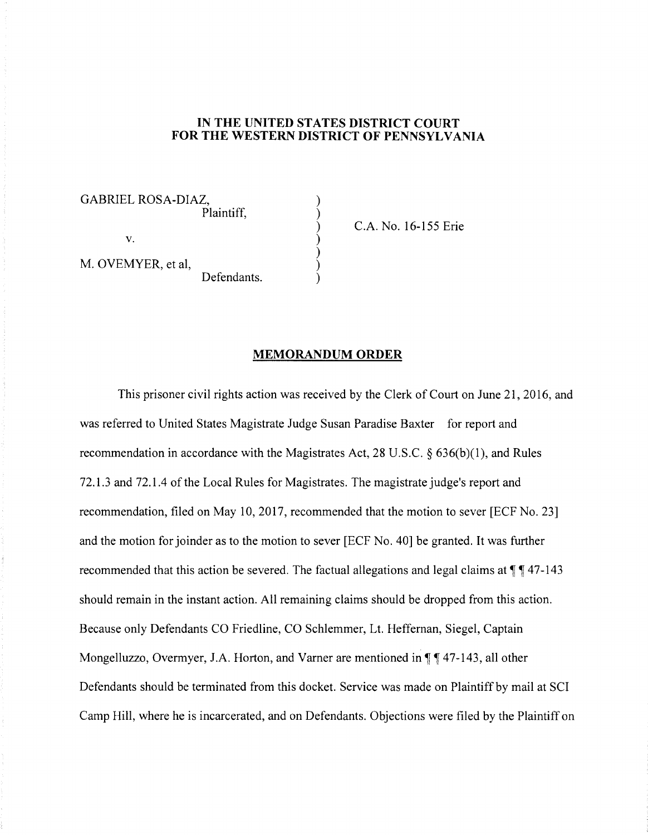## **IN THE UNITED STATES DISTRICT COURT FOR THE WESTERN DISTRICT OF PENNSYLVANIA**

) ) ) ) ) ) )

GABRIEL ROSA-DIAZ, Plaintiff,

C.A. No. 16-155 Erie

M. OVEMYER, et al, Defendants.

V.

## **MEMORANDUM ORDER**

This prisoner civil rights action was received by the Clerk of Court on June 21, 2016, and was referred to United States Magistrate Judge Susan Paradise Baxter for report and recommendation in accordance with the Magistrates Act, 28 U.S.C. § 636(b)(l), and Rules 72.1.3 and 72.1.4 of the Local Rules for Magistrates. The magistrate judge's report and recommendation, filed on May 10, 2017, recommended that the motion to sever [ECF No. 23] and the motion for joinder as to the motion to sever [ECF No. 40] be granted. It was further recommended that this action be severed. The factual allegations and legal claims at  $\P\P$  47-143 should remain in the instant action. All remaining claims should be dropped from this action. Because only Defendants CO Friedline, CO Schlemmer, Lt. Heffernan, Siegel, Captain Mongelluzzo, Overmyer, J.A. Horton, and Varner are mentioned in  $\P\P$   $\P$  47-143, all other Defendants should be terminated from this docket. Service was made on Plaintiff by mail at SCI Camp Hill, where he is incarcerated, and on Defendants. Objections were filed by the Plaintiff on